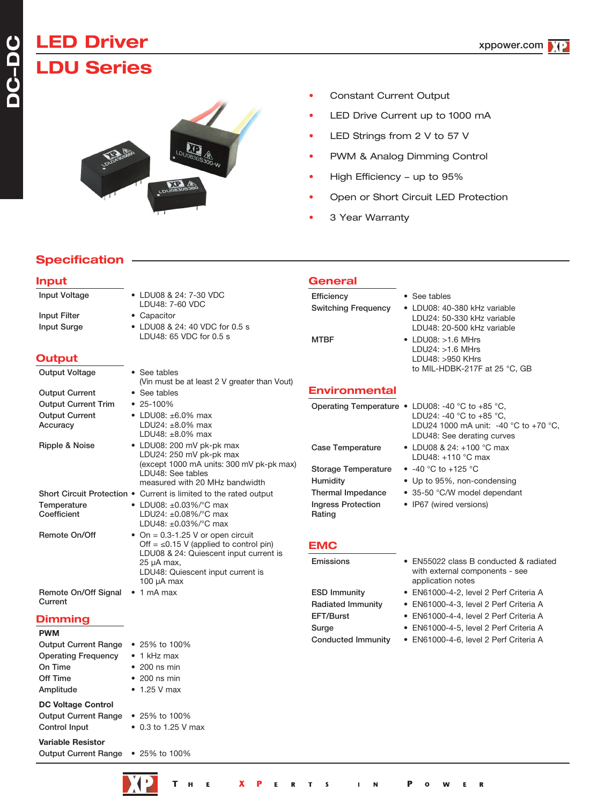# **LED Driver LDU Series**

- Constant Current Output
- LED Drive Current up to 1000 mA
- LED Strings from 2 V to 57 V
- PWM & Analog Dimming Control
- High Efficiency up to 95%
- Open or Short Circuit LED Protection
- 3 Year Warranty

# **Specification**

#### **Input** Input Voltage • LDU08 & 24: 7-30 VDC LDU48: 7-60 VDC Input Filter • Capacitor Input Surge • LDU08 & 24: 40 VDC for 0.5 s LDU48: 65 VDC for 0.5 s **Output** Output Voltage • See tables (Vin must be at least 2 V greater than Vout) Output Current • See tables Output Current Trim • 25-100% Output Current • LDU08: ±6.0% max Accuracy LDU24: ±8.0% max LDU48: ±8.0% max Ripple & Noise • LDU08: 200 mV pk-pk max LDU24: 250 mV pk-pk max (except 1000 mA units: 300 mV pk-pk max) LDU48: See tables measured with 20 MHz bandwidth Short Circuit Protection • Current is limited to the rated output Temperature • LDU08: ±0.03%/°C max LDU24:  $\pm$ 0.08%/ $^{\circ}$ C max LDU48: ±0.03%/°C max Remote On/Off • On =  $0.3-1.25$  V or open circuit Off =  $\leq$  0.15 V (applied to control pin) LDU08 & 24: Quiescent input current is 25 µA max, LDU48: Quiescent input current is 100 µA max Remote On/Off Signal • 1 mA max **Current Dimming PWM** Output Current Range • 25% to 100% Operating Frequency • 1 kHz max On Time • 200 ns min Off Time • 200 ns min Amplitude • 1.25 V max **DC Voltage Control** Output Current Range • 25% to 100% Control Input • 0.3 to 1.25 V max **Variable Resistor** Output Current Range • 25% to 100% **General** Efficiency • See tables Switching Frequency • LDU08: 40-380 kHz variable LDU24: 50-330 kHz variable LDU48: 20-500 kHz variable MTBF • LDU08: >1.6 MHrs LDU24: >1.6 MHrs LDU48: >950 KHrs to MIL-HDBK-217F at 25 °C, GB **Environmental** Operating Temperature • LDU08: -40 °C to +85 °C, LDU24: -40 °C to +85 °C, LDU24 1000 mA unit: -40 °C to +70 °C, LDU48: See derating curves Case Temperature • LDU08 & 24: +100 °C max LDU48: +110 °C max Storage Temperature • -40 °C to +125 °C Humidity • Up to 95%, non-condensing Thermal Impedance • 35-50 °C/W model dependant Ingress Protection • IP67 (wired versions) Rating **EMC** Emissions • EN55022 class B conducted & radiated with external components - see application notes ESD Immunity • EN61000-4-2, level 2 Perf Criteria A Radiated Immunity • EN61000-4-3, level 2 Perf Criteria A EFT/Burst • EN61000-4-4, level 2 Perf Criteria A Surge • EN61000-4-5, level 2 Perf Criteria A Conducted Immunity • EN61000-4-6, level 2 Perf Criteria A

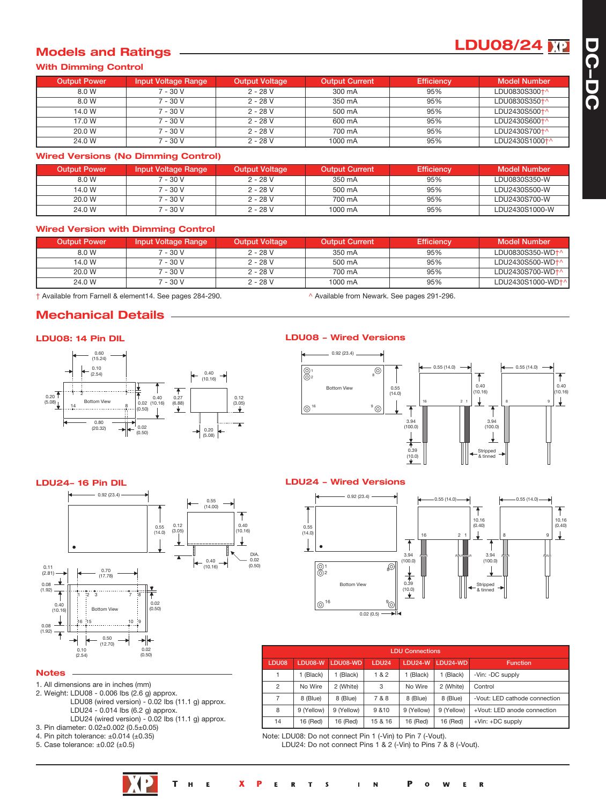# **LDU08/24**

# **Models and Ratings**

#### **With Dimming Control**

| <b>Output Power</b> | <b>Input Voltage Range</b> | <b>Output Voltage</b> | <b>Output Current</b> | <b>Efficiency</b> | <b>Model Number</b> |
|---------------------|----------------------------|-----------------------|-----------------------|-------------------|---------------------|
| 8.0 W               | 7 - 30 V                   | $2 - 28 V$            | 300 mA                | 95%               | LDU0830S300+^       |
| 8.0 W               | $7 - 30V$                  | $2 - 28$ V            | 350 mA                | 95%               | LDU0830S350+^       |
| 14.0 W              | $7 - 30V$                  | $2 - 28$ V            | 500 mA                | 95%               | LDU2430S500+^       |
| 17.0 W              | $7 - 30V$                  | $2 - 28$ V            | 600 mA                | 95%               | LDU2430S600+^       |
| 20.0 W              | 7 - 30 V                   | $2 - 28$ V            | 700 mA                | 95%               | LDU2430S700+^       |
| 24.0 W              | 7 - 30 V                   | $2 - 28$ V            | 1000 mA               | 95%               | LDU2430S1000+^      |

#### **Wired Versions (No Dimming Control)**

| <b>Output Power</b> | <b>Input Voltage Range</b> | <b>Output Voltage</b> | <b>Output Current</b> | <b>Efficiency</b> | <b>Model Number</b> |
|---------------------|----------------------------|-----------------------|-----------------------|-------------------|---------------------|
| 8.0 W               | 7 - 30 V                   | 2 - 28 V              | 350 mA                | 95%               | LDU0830S350-W       |
| 14.0 W              | 7 - 30 V                   | $2 - 28$ V            | 500 mA                | 95%               | LDU2430S500-W       |
| 20.0 W              | 7 - 30 V                   | $2 - 28$ V            | 700 mA                | 95%               | LDU2430S700-W       |
| 24.0 W              | 7 - 30 V                   | $2 - 28V$             | 1000 mA               | 95%               | LDU2430S1000-W      |

#### **Wired Version with Dimming Control**

| <b>Output Power</b> | Input Voltage Range | <b>Output Voltage</b> | <b>Output Current</b> | <b>Efficiency</b> | <b>Model Number</b> |
|---------------------|---------------------|-----------------------|-----------------------|-------------------|---------------------|
| 8.0 W               | 7 - 30 V            | $2 - 28 V$            | 350 mA                | 95%               | LDU0830S350-WD+^    |
| 14.0 W              | 7 - 30 V            | $2 - 28 V$            | 500 mA                | 95%               | LDU2430S500-WD+^    |
| 20.0 W              | $-30V$              | $2 - 28V$             | 700 mA                | 95%               | LDU2430S700-WD+^    |
| 24.0 W              | 7 - 30 V            | $2 - 28$ V            | 1000 mA               | 95%               | LDU2430S1000-WD+    |

† Available from Farnell & element14. See pages 284-290. ^ Available from Newark. See pages 291-296.

# **Mechanical Details**

#### **LDU08: 14 Pin DIL**



#### **LDU08 Wired Versions**



### **LDU24 16 Pin DIL LDU24 Wired Versions**



|                | <b>LDU Connections</b> |            |                   |            |            |                               |  |  |
|----------------|------------------------|------------|-------------------|------------|------------|-------------------------------|--|--|
| LDU08          | LDU08-W                | LDU08-WD   | LDU <sub>24</sub> | LDU24-W    | LDU24-WD   | <b>Function</b>               |  |  |
|                | (Black)                | (Black)    | 1&2               | 1 (Black)  | 1 (Black)  | -Vin: -DC supply              |  |  |
| $\overline{2}$ | No Wire                | 2 (White)  | 3                 | No Wire    | 2 (White)  | Control                       |  |  |
| 7              | 8 (Blue)               | 8 (Blue)   | 7 & 8             | 8 (Blue)   | 8 (Blue)   | -Vout: LED cathode connection |  |  |
| 8              | 9 (Yellow)             | 9 (Yellow) | 9 & 10            | 9 (Yellow) | 9 (Yellow) | +Vout: LED anode connection   |  |  |
| 14             | 16 (Red)               | 16 (Red)   | 15 & 16           | 16 (Red)   | 16 (Red)   | $+V$ in: $+DC$ supply         |  |  |

Note: LDU08: Do not connect Pin 1 (-Vin) to Pin 7 (-Vout).

LDU24: Do not connect Pins 1 & 2 (-Vin) to Pins 7 & 8 (-Vout).



#### **Notes**

- 1. All dimensions are in inches (mm)
- 2. Weight: LDU08 0.006 lbs (2.6 g) approx. LDU08 (wired version) - 0.02 lbs (11.1 g) approx. LDU24 - 0.014 lbs (6.2 g) approx. LDU24 (wired version) - 0.02 lbs (11.1 g) approx.
- 3. Pin diameter: 0.02±0.002 (0.5±0.05)
- 4. Pin pitch tolerance:  $\pm 0.014$  ( $\pm 0.35$ )
- 5. Case tolerance:  $\pm 0.02$  ( $\pm 0.5$ )

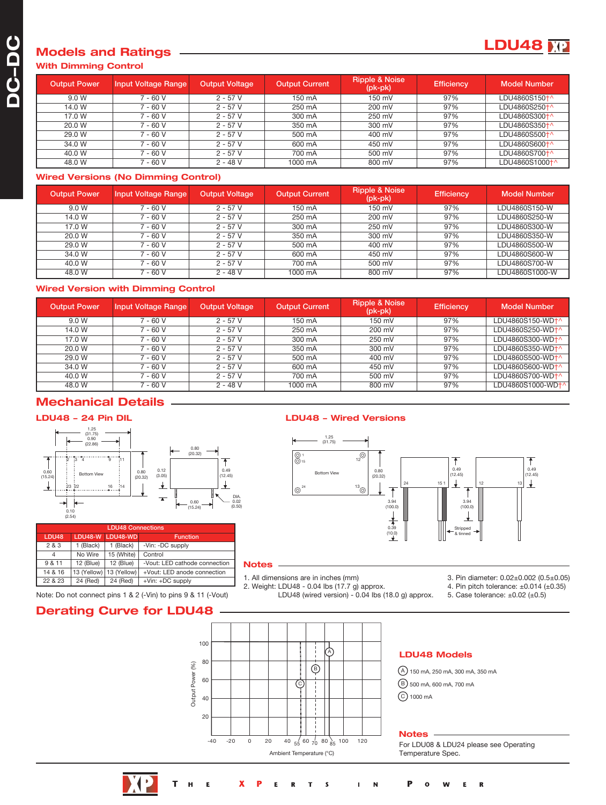## **Models and Ratings With Dimming Control**

| <b>Output Power</b> | Input Voltage Range | <b>Output Voltage</b> | <b>Output Current</b> | <b>Ripple &amp; Noise</b><br>$(pk-pk)$ | <b>Efficiency</b> | <b>Model Number</b> |
|---------------------|---------------------|-----------------------|-----------------------|----------------------------------------|-------------------|---------------------|
| 9.0 W               | 7 - 60 V            | $2 - 57V$             | 150 mA                | 150 mV                                 | 97%               | LDU4860S150+^       |
| 14.0 W              | 7 - 60 V            | $2 - 57V$             | 250 mA                | 200 mV                                 | 97%               | LDU4860S250+^       |
| 17.0 W              | 7 - 60 V            | $2 - 57V$             | 300 mA                | 250 mV                                 | 97%               | LDU4860S300+^       |
| 20.0 W              | 7 - 60 V            | $2 - 57V$             | 350 mA                | 300 mV                                 | 97%               | LDU4860S350+^       |
| 29.0 W              | 7 - 60 V            | $2 - 57V$             | 500 mA                | 400 mV                                 | 97%               | LDU4860S500+^       |
| 34.0 W              | 7 - 60 V            | $2 - 57V$             | 600 mA                | 450 mV                                 | 97%               | LDU4860S600†^       |
| 40.0 W              | 7 - 60 V            | $2 - 57V$             | 700 mA                | 500 mV                                 | 97%               | LDU4860S700+^       |
| 48.0 W              | 7 - 60 V            | $2 - 48V$             | 1000 mA               | 800 mV                                 | 97%               | LDU4860S1000+^      |

#### **Wired Versions (No Dimming Control)**

| <b>Output Power</b> | <b>Input Voltage Range</b> | <b>Output Voltage</b> | <b>Output Current</b> | <b>Ripple &amp; Noise</b><br>$(pk-pk)$ | <b>Efficiency</b> | <b>Model Number</b> |
|---------------------|----------------------------|-----------------------|-----------------------|----------------------------------------|-------------------|---------------------|
| 9.0 W               | $7 - 60V$                  | $2 - 57V$             | 150 mA                | 150 mV                                 | 97%               | LDU4860S150-W       |
| 14.0 W              | $7 - 60V$                  | $2 - 57V$             | 250 mA                | 200 mV                                 | 97%               | LDU4860S250-W       |
| 17.0 W              | 7 - 60 V                   | $2 - 57V$             | 300 mA                | 250 mV                                 | 97%               | LDU4860S300-W       |
| 20.0 W              | $7 - 60V$                  | $2 - 57V$             | 350 mA                | 300 mV                                 | 97%               | LDU4860S350-W       |
| 29.0 W              | 7 - 60 V                   | $2 - 57V$             | 500 mA                | 400 mV                                 | 97%               | LDU4860S500-W       |
| 34.0 W              | 7 - 60 V                   | $2 - 57V$             | 600 mA                | 450 mV                                 | 97%               | LDU4860S600-W       |
| 40.0 W              | 7 - 60 V                   | $2 - 57V$             | 700 mA                | 500 mV                                 | 97%               | LDU4860S700-W       |
| 48.0 W              | 7 - 60 V                   | $2 - 48V$             | 1000 mA               | 800 mV                                 | 97%               | LDU4860S1000-W      |

## **Wired Version with Dimming Control**

| <b>Output Power</b> | <b>Input Voltage Range</b> | <b>Output Voltage</b> | <b>Output Current</b> | <b>Ripple &amp; Noise</b><br>$(pk-pk)$ | <b>Efficiency</b> | <b>Model Number</b>          |
|---------------------|----------------------------|-----------------------|-----------------------|----------------------------------------|-------------------|------------------------------|
| 9.0 W               | 7 - 60 V                   | $2 - 57V$             | 150 mA                | 150 mV                                 | 97%               | LDU4860S150-WD <sup>+</sup>  |
| 14.0 W              | $7 - 60V$                  | $2 - 57V$             | 250 mA                | 200 mV                                 | 97%               | LDU4860S250-WD <sup>+^</sup> |
| 17.0 W              | $7 - 60V$                  | $2 - 57V$             | 300 mA                | 250 mV                                 | 97%               | LDU4860S300-WD <sup>+^</sup> |
| 20.0 W              | 7 - 60 V                   | $2 - 57V$             | 350 mA                | 300 mV                                 | 97%               | LDU4860S350-WD <sup>+^</sup> |
| 29.0 W              | $7 - 60V$                  | $2 - 57V$             | 500 mA                | 400 mV                                 | 97%               | LDU4860S500-WD <sup>+^</sup> |
| 34.0 W              | 7 - 60 V                   | $2 - 57V$             | 600 mA                | 450 mV                                 | 97%               | LDU4860S600-WD <sup>+^</sup> |
| 40.0 W              | 7 - 60 V                   | $2 - 57V$             | 700 mA                | 500 mV                                 | 97%               | LDU4860S700-WD <sup>+</sup>  |
| 48.0 W              | $7 - 60 V$                 | $2 - 48V$             | 1000 mA               | 800 mV                                 | 97%               | LDU4860S1000-WD+^            |

# **Mechanical Details**

#### **LDU48 24 Pin DIL**



| LDU48 Connections |             |                  |                               |  |  |  |  |
|-------------------|-------------|------------------|-------------------------------|--|--|--|--|
| LDU <sub>48</sub> |             | LDU48-W LDU48-WD | <b>Function</b>               |  |  |  |  |
| 2 & 3             | 1 (Black)   | 1 (Black)        | -Vin: -DC supply              |  |  |  |  |
| 4                 | No Wire     | 15 (White)       | Control                       |  |  |  |  |
| 9 & 11            | 12 (Blue)   | 12 (Blue)        | -Vout: LED cathode connection |  |  |  |  |
| 14 & 16           | 13 (Yellow) | 13 (Yellow)      | +Vout: LED anode connection   |  |  |  |  |
| 22 & 23           | 24 (Red)    | 24 (Red)         | $+V$ in: $+DC$ supply         |  |  |  |  |

#### Note: Do not connect pins 1 & 2 (-Vin) to pins 9 & 11 (-Vout) 5. Case tolerance: ±0.02 (±0.5) 5. Case tolerance: ±0.02 (±0.5)

### **Derating Curve for LDU48**



#### **LDU48 Wired Versions**



#### **Notes**

1. All dimensions are in inches (mm)

2. Weight: LDU48 - 0.04 lbs (17.7 g) approx. LDU48 (wired version) - 0.04 lbs (18.0 g) approx. 3. Pin diameter: 0.02±0.002 (0.5±0.05)

**LDU48**

4. Pin pitch tolerance:  $\pm 0.014$  ( $\pm 0.35$ )

**LDU48 Models**

A 150 mA, 250 mA, 300 mA, 350 mA B 500 mA, 600 mA, 700 mA C) 1000 mA

#### **Notes**

For LDU08 & LDU24 please see Operating Temperature Spec.